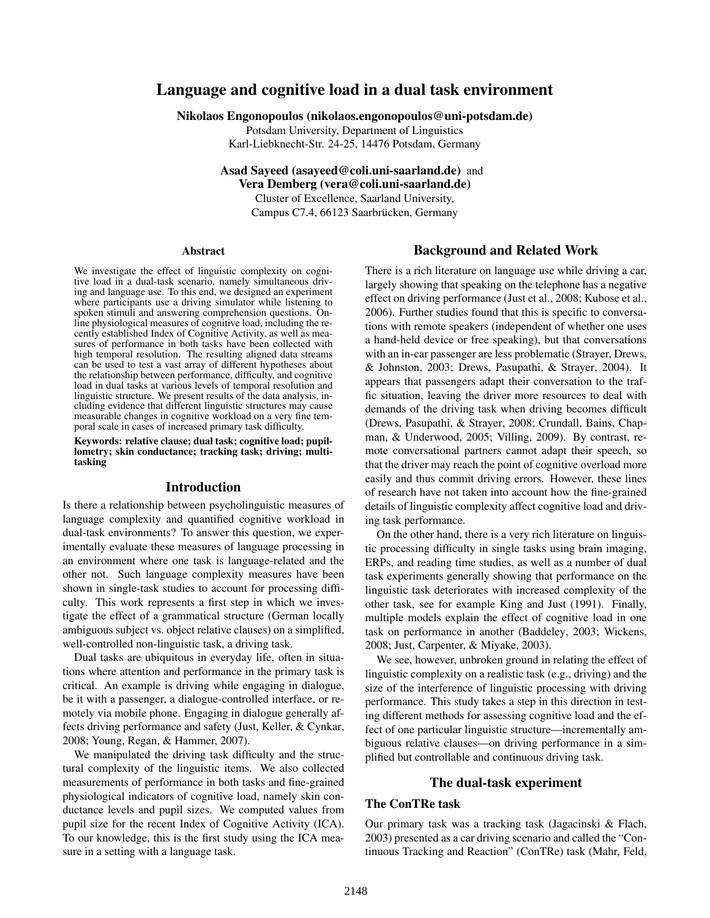# Language and cognitive load in a dual task environment

Nikolaos Engonopoulos (nikolaos.engonopoulos@uni-potsdam.de)

Potsdam University, Department of Linguistics Karl-Liebknecht-Str. 24-25, 14476 Potsdam, Germany

Asad Sayeed (asayeed@coli.uni-saarland.de) and Vera Demberg (vera@coli.uni-saarland.de)

Cluster of Excellence, Saarland University, Campus C7.4, 66123 Saarbrücken, Germany

### Abstract

We investigate the effect of linguistic complexity on cognitive load in a dual-task scenario, namely simultaneous driving and language use. To this end, we designed an experiment where participants use a driving simulator while listening to spoken stimuli and answering comprehension questions. Online physiological measures of cognitive load, including the recently established Index of Cognitive Activity, as well as measures of performance in both tasks have been collected with high temporal resolution. The resulting aligned data streams can be used to test a vast array of different hypotheses about the relationship between performance, difficulty, and cognitive load in dual tasks at various levels of temporal resolution and linguistic structure. We present results of the data analysis, including evidence that different linguistic structures may cause measurable changes in cognitive workload on a very fine temporal scale in cases of increased primary task difficulty.

Keywords: relative clause; dual task; cognitive load; pupillometry; skin conductance; tracking task; driving; multitasking

## Introduction

Is there a relationship between psycholinguistic measures of language complexity and quantified cognitive workload in dual-task environments? To answer this question, we experimentally evaluate these measures of language processing in an environment where one task is language-related and the other not. Such language complexity measures have been shown in single-task studies to account for processing difficulty. This work represents a first step in which we investigate the effect of a grammatical structure (German locally ambiguous subject vs. object relative clauses) on a simplified, well-controlled non-linguistic task, a driving task.

Dual tasks are ubiquitous in everyday life, often in situations where attention and performance in the primary task is critical. An example is driving while engaging in dialogue, be it with a passenger, a dialogue-controlled interface, or remotely via mobile phone. Engaging in dialogue generally affects driving performance and safety (Just, Keller, & Cynkar, 2008; Young, Regan, & Hammer, 2007).

We manipulated the driving task difficulty and the structural complexity of the linguistic items. We also collected measurements of performance in both tasks and fine-grained physiological indicators of cognitive load, namely skin conductance levels and pupil sizes. We computed values from pupil size for the recent Index of Cognitive Activity (ICA). To our knowledge, this is the first study using the ICA measure in a setting with a language task.

### Background and Related Work

There is a rich literature on language use while driving a car, largely showing that speaking on the telephone has a negative effect on driving performance (Just et al., 2008; Kubose et al., 2006). Further studies found that this is specific to conversations with remote speakers (independent of whether one uses a hand-held device or free speaking), but that conversations with an in-car passenger are less problematic (Strayer, Drews, & Johnston, 2003; Drews, Pasupathi, & Strayer, 2004). It appears that passengers adapt their conversation to the traffic situation, leaving the driver more resources to deal with demands of the driving task when driving becomes difficult (Drews, Pasupathi, & Strayer, 2008; Crundall, Bains, Chapman, & Underwood, 2005; Villing, 2009). By contrast, remote conversational partners cannot adapt their speech, so that the driver may reach the point of cognitive overload more easily and thus commit driving errors. However, these lines of research have not taken into account how the fine-grained details of linguistic complexity affect cognitive load and driving task performance.

On the other hand, there is a very rich literature on linguistic processing difficulty in single tasks using brain imaging, ERPs, and reading time studies, as well as a number of dual task experiments generally showing that performance on the linguistic task deteriorates with increased complexity of the other task, see for example King and Just (1991). Finally, multiple models explain the effect of cognitive load in one task on performance in another (Baddeley, 2003; Wickens, 2008; Just, Carpenter, & Miyake, 2003).

We see, however, unbroken ground in relating the effect of linguistic complexity on a realistic task (e.g., driving) and the size of the interference of linguistic processing with driving performance. This study takes a step in this direction in testing different methods for assessing cognitive load and the effect of one particular linguistic structure—incrementally ambiguous relative clauses—on driving performance in a simplified but controllable and continuous driving task.

### The dual-task experiment

### The ConTRe task

Our primary task was a tracking task (Jagacinski & Flach, 2003) presented as a car driving scenario and called the "Continuous Tracking and Reaction" (ConTRe) task (Mahr, Feld,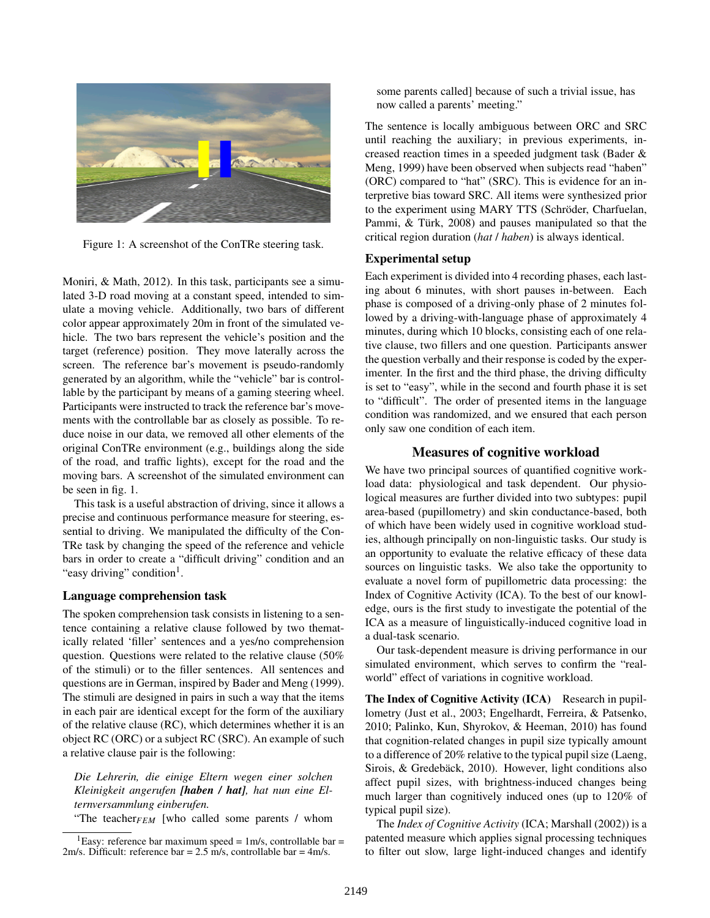

Figure 1: A screenshot of the ConTRe steering task.

Moniri, & Math, 2012). In this task, participants see a simulated 3-D road moving at a constant speed, intended to simulate a moving vehicle. Additionally, two bars of different color appear approximately 20m in front of the simulated vehicle. The two bars represent the vehicle's position and the target (reference) position. They move laterally across the screen. The reference bar's movement is pseudo-randomly generated by an algorithm, while the "vehicle" bar is controllable by the participant by means of a gaming steering wheel. Participants were instructed to track the reference bar's movements with the controllable bar as closely as possible. To reduce noise in our data, we removed all other elements of the original ConTRe environment (e.g., buildings along the side of the road, and traffic lights), except for the road and the moving bars. A screenshot of the simulated environment can be seen in fig. 1.

This task is a useful abstraction of driving, since it allows a precise and continuous performance measure for steering, essential to driving. We manipulated the difficulty of the Con-TRe task by changing the speed of the reference and vehicle bars in order to create a "difficult driving" condition and an "easy driving" condition<sup>1</sup>.

# Language comprehension task

The spoken comprehension task consists in listening to a sentence containing a relative clause followed by two thematically related 'filler' sentences and a yes/no comprehension question. Questions were related to the relative clause (50% of the stimuli) or to the filler sentences. All sentences and questions are in German, inspired by Bader and Meng (1999). The stimuli are designed in pairs in such a way that the items in each pair are identical except for the form of the auxiliary of the relative clause (RC), which determines whether it is an object RC (ORC) or a subject RC (SRC). An example of such a relative clause pair is the following:

*Die Lehrerin, die einige Eltern wegen einer solchen Kleinigkeit angerufen [haben / hat], hat nun eine Elternversammlung einberufen.*

"The teacher $F_{FEM}$  [who called some parents / whom

some parents called] because of such a trivial issue, has now called a parents' meeting."

The sentence is locally ambiguous between ORC and SRC until reaching the auxiliary; in previous experiments, increased reaction times in a speeded judgment task (Bader & Meng, 1999) have been observed when subjects read "haben" (ORC) compared to "hat" (SRC). This is evidence for an interpretive bias toward SRC. All items were synthesized prior to the experiment using MARY TTS (Schröder, Charfuelan, Pammi, & Türk, 2008) and pauses manipulated so that the critical region duration (*hat* / *haben*) is always identical.

# Experimental setup

Each experiment is divided into 4 recording phases, each lasting about 6 minutes, with short pauses in-between. Each phase is composed of a driving-only phase of 2 minutes followed by a driving-with-language phase of approximately 4 minutes, during which 10 blocks, consisting each of one relative clause, two fillers and one question. Participants answer the question verbally and their response is coded by the experimenter. In the first and the third phase, the driving difficulty is set to "easy", while in the second and fourth phase it is set to "difficult". The order of presented items in the language condition was randomized, and we ensured that each person only saw one condition of each item.

# Measures of cognitive workload

We have two principal sources of quantified cognitive workload data: physiological and task dependent. Our physiological measures are further divided into two subtypes: pupil area-based (pupillometry) and skin conductance-based, both of which have been widely used in cognitive workload studies, although principally on non-linguistic tasks. Our study is an opportunity to evaluate the relative efficacy of these data sources on linguistic tasks. We also take the opportunity to evaluate a novel form of pupillometric data processing: the Index of Cognitive Activity (ICA). To the best of our knowledge, ours is the first study to investigate the potential of the ICA as a measure of linguistically-induced cognitive load in a dual-task scenario.

Our task-dependent measure is driving performance in our simulated environment, which serves to confirm the "realworld" effect of variations in cognitive workload.

The Index of Cognitive Activity (ICA) Research in pupillometry (Just et al., 2003; Engelhardt, Ferreira, & Patsenko, 2010; Palinko, Kun, Shyrokov, & Heeman, 2010) has found that cognition-related changes in pupil size typically amount to a difference of 20% relative to the typical pupil size (Laeng, Sirois, & Gredebäck, 2010). However, light conditions also affect pupil sizes, with brightness-induced changes being much larger than cognitively induced ones (up to 120% of typical pupil size).

The *Index of Cognitive Activity* (ICA; Marshall (2002)) is a patented measure which applies signal processing techniques to filter out slow, large light-induced changes and identify

<sup>&</sup>lt;sup>1</sup>Easy: reference bar maximum speed =  $1 \text{m/s}$ , controllable bar = 2m/s. Difficult: reference bar =  $2.5 \text{ m/s}$ , controllable bar =  $4 \text{ m/s}$ .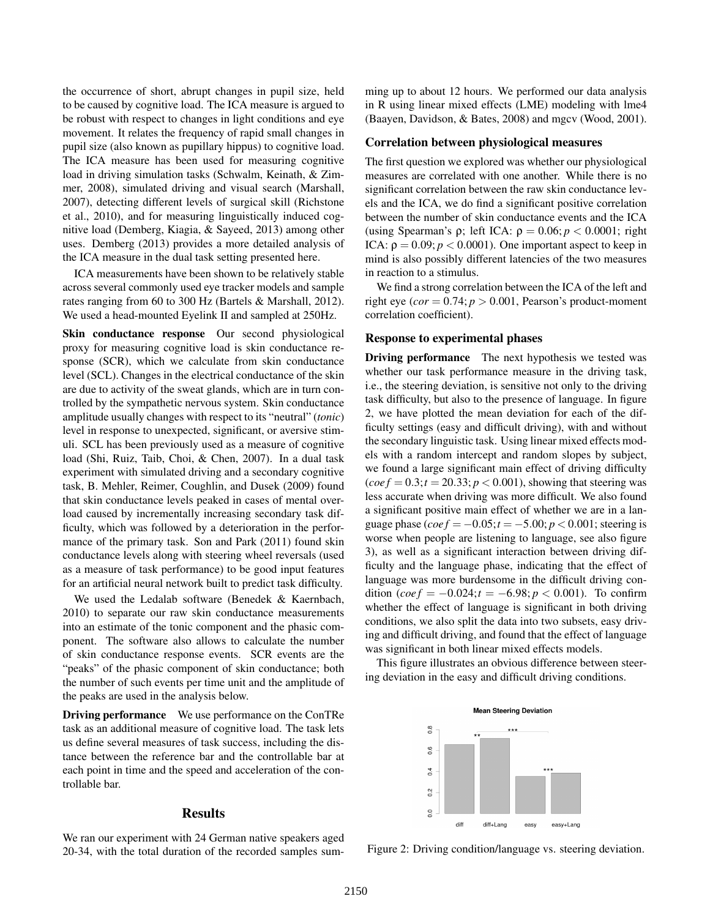the occurrence of short, abrupt changes in pupil size, held to be caused by cognitive load. The ICA measure is argued to be robust with respect to changes in light conditions and eye movement. It relates the frequency of rapid small changes in pupil size (also known as pupillary hippus) to cognitive load. The ICA measure has been used for measuring cognitive load in driving simulation tasks (Schwalm, Keinath, & Zimmer, 2008), simulated driving and visual search (Marshall, 2007), detecting different levels of surgical skill (Richstone et al., 2010), and for measuring linguistically induced cognitive load (Demberg, Kiagia, & Sayeed, 2013) among other uses. Demberg (2013) provides a more detailed analysis of the ICA measure in the dual task setting presented here.

ICA measurements have been shown to be relatively stable across several commonly used eye tracker models and sample rates ranging from 60 to 300 Hz (Bartels & Marshall, 2012). We used a head-mounted Eyelink II and sampled at 250Hz.

Skin conductance response Our second physiological proxy for measuring cognitive load is skin conductance response (SCR), which we calculate from skin conductance level (SCL). Changes in the electrical conductance of the skin are due to activity of the sweat glands, which are in turn controlled by the sympathetic nervous system. Skin conductance amplitude usually changes with respect to its "neutral" (*tonic*) level in response to unexpected, significant, or aversive stimuli. SCL has been previously used as a measure of cognitive load (Shi, Ruiz, Taib, Choi, & Chen, 2007). In a dual task experiment with simulated driving and a secondary cognitive task, B. Mehler, Reimer, Coughlin, and Dusek (2009) found that skin conductance levels peaked in cases of mental overload caused by incrementally increasing secondary task difficulty, which was followed by a deterioration in the performance of the primary task. Son and Park (2011) found skin conductance levels along with steering wheel reversals (used as a measure of task performance) to be good input features for an artificial neural network built to predict task difficulty.

We used the Ledalab software (Benedek & Kaernbach, 2010) to separate our raw skin conductance measurements into an estimate of the tonic component and the phasic component. The software also allows to calculate the number of skin conductance response events. SCR events are the "peaks" of the phasic component of skin conductance; both the number of such events per time unit and the amplitude of the peaks are used in the analysis below.

Driving performance We use performance on the ConTRe task as an additional measure of cognitive load. The task lets us define several measures of task success, including the distance between the reference bar and the controllable bar at each point in time and the speed and acceleration of the controllable bar.

# Results

We ran our experiment with 24 German native speakers aged 20-34, with the total duration of the recorded samples summing up to about 12 hours. We performed our data analysis in R using linear mixed effects (LME) modeling with lme4 (Baayen, Davidson, & Bates, 2008) and mgcv (Wood, 2001).

### Correlation between physiological measures

The first question we explored was whether our physiological measures are correlated with one another. While there is no significant correlation between the raw skin conductance levels and the ICA, we do find a significant positive correlation between the number of skin conductance events and the ICA (using Spearman's  $\rho$ ; left ICA:  $\rho = 0.06$ ;  $p < 0.0001$ ; right ICA:  $\rho = 0.09$ ;  $p < 0.0001$ ). One important aspect to keep in mind is also possibly different latencies of the two measures in reaction to a stimulus.

We find a strong correlation between the ICA of the left and right eye ( $cor = 0.74$ ;  $p > 0.001$ , Pearson's product-moment correlation coefficient).

### Response to experimental phases

Driving performance The next hypothesis we tested was whether our task performance measure in the driving task, i.e., the steering deviation, is sensitive not only to the driving task difficulty, but also to the presence of language. In figure 2, we have plotted the mean deviation for each of the difficulty settings (easy and difficult driving), with and without the secondary linguistic task. Using linear mixed effects models with a random intercept and random slopes by subject, we found a large significant main effect of driving difficulty  $(coef = 0.3; t = 20.33; p < 0.001)$ , showing that steering was less accurate when driving was more difficult. We also found a significant positive main effect of whether we are in a language phase  $(coe f = -0.05; t = -5.00; p < 0.001;$  steering is worse when people are listening to language, see also figure 3), as well as a significant interaction between driving difficulty and the language phase, indicating that the effect of language was more burdensome in the difficult driving condition ( $\cos f = -0.024$ ;  $t = -6.98$ ;  $p < 0.001$ ). To confirm whether the effect of language is significant in both driving conditions, we also split the data into two subsets, easy driving and difficult driving, and found that the effect of language was significant in both linear mixed effects models.

This figure illustrates an obvious difference between steering deviation in the easy and difficult driving conditions.



Figure 2: Driving condition/language vs. steering deviation.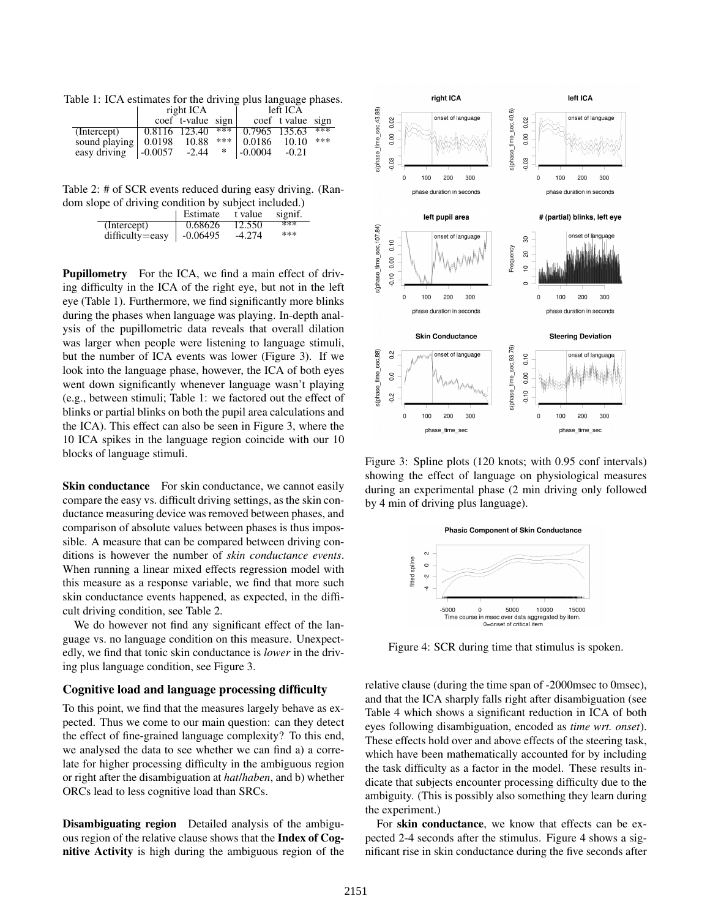Table 1: ICA estimates for the driving plus language phases.

|                                    | right ICA                 |                      |     | left ICA             |                   |     |
|------------------------------------|---------------------------|----------------------|-----|----------------------|-------------------|-----|
|                                    |                           | $\cot t$ -value sign |     |                      | coef t value sign |     |
| (Intercept)                        | $\vert$ 0.8116 123.40 *** |                      |     | 0.7965 135.63        |                   | *** |
| sound playing $\vert 0.0198 \vert$ |                           | 10.88                |     | ***   $0.0186$ 10.10 |                   | *** |
| easy driving                       | $\mid -0.0057 \mid$       | $-2.44$              | $*$ | $-0.0004$            | $-0.21$           |     |

Table 2: # of SCR events reduced during easy driving. (Random slope of driving condition by subject included.)

|                 | Estimate | t value  | signif. |
|-----------------|----------|----------|---------|
| (Intercept)     | 0.68626  | 12.550   | ***     |
| difficulty=easy | -0.06495 | $-4.274$ | ***     |

Pupillometry For the ICA, we find a main effect of driving difficulty in the ICA of the right eye, but not in the left eye (Table 1). Furthermore, we find significantly more blinks during the phases when language was playing. In-depth analysis of the pupillometric data reveals that overall dilation was larger when people were listening to language stimuli, but the number of ICA events was lower (Figure 3). If we look into the language phase, however, the ICA of both eyes went down significantly whenever language wasn't playing (e.g., between stimuli; Table 1: we factored out the effect of blinks or partial blinks on both the pupil area calculations and the ICA). This effect can also be seen in Figure 3, where the 10 ICA spikes in the language region coincide with our 10 blocks of language stimuli.

**Skin conductance** For skin conductance, we cannot easily compare the easy vs. difficult driving settings, as the skin conductance measuring device was removed between phases, and comparison of absolute values between phases is thus impossible. A measure that can be compared between driving conditions is however the number of *skin conductance events*. When running a linear mixed effects regression model with this measure as a response variable, we find that more such skin conductance events happened, as expected, in the difficult driving condition, see Table 2.

We do however not find any significant effect of the language vs. no language condition on this measure. Unexpectedly, we find that tonic skin conductance is *lower* in the driving plus language condition, see Figure 3.

### Cognitive load and language processing difficulty

To this point, we find that the measures largely behave as expected. Thus we come to our main question: can they detect the effect of fine-grained language complexity? To this end, we analysed the data to see whether we can find a) a correlate for higher processing difficulty in the ambiguous region or right after the disambiguation at *hat*/*haben*, and b) whether ORCs lead to less cognitive load than SRCs.

Disambiguating region Detailed analysis of the ambiguous region of the relative clause shows that the Index of Cognitive Activity is high during the ambiguous region of the



Figure 3: Spline plots (120 knots; with 0.95 conf intervals) showing the effect of language on physiological measures during an experimental phase (2 min driving only followed by 4 min of driving plus language).



Figure 4: SCR during time that stimulus is spoken.

relative clause (during the time span of -2000msec to 0msec), and that the ICA sharply falls right after disambiguation (see Table 4 which shows a significant reduction in ICA of both eyes following disambiguation, encoded as *time wrt. onset*). These effects hold over and above effects of the steering task, which have been mathematically accounted for by including the task difficulty as a factor in the model. These results indicate that subjects encounter processing difficulty due to the ambiguity. (This is possibly also something they learn during the experiment.)

For skin conductance, we know that effects can be expected 2-4 seconds after the stimulus. Figure 4 shows a significant rise in skin conductance during the five seconds after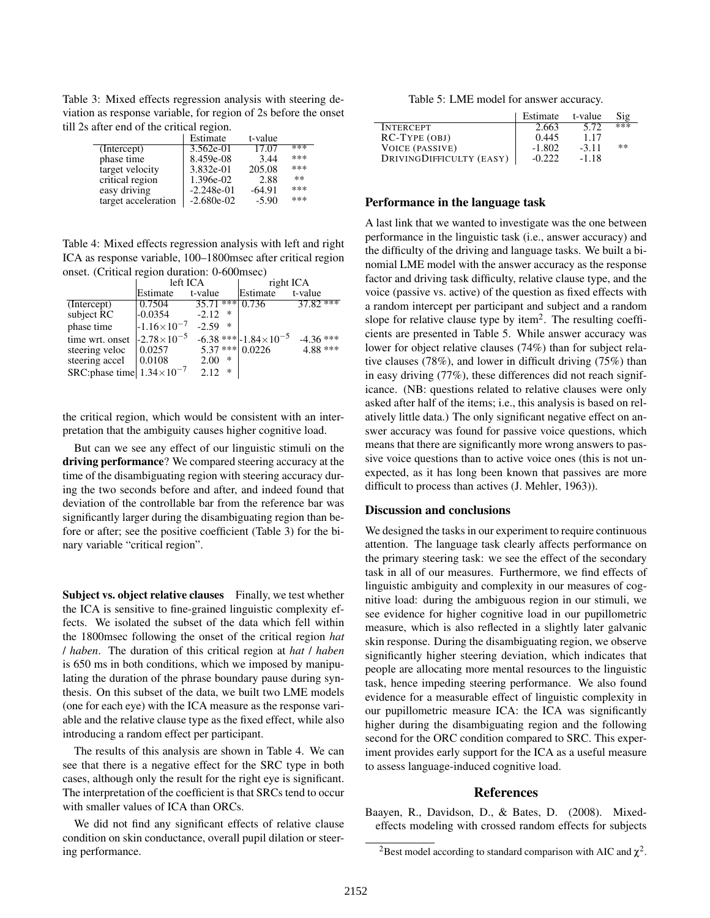Table 3: Mixed effects regression analysis with steering deviation as response variable, for region of 2s before the onset till 2s after end of the critical region.

|                     | Estimate     | t-value  |       |
|---------------------|--------------|----------|-------|
| (Intercept)         | $3.562e-01$  | 17.07    | $***$ |
| phase time          | 8.459e-08    | 3.44     | ***   |
| target velocity     | 3.832e-01    | 205.08   | ***   |
| critical region     | 1.396e-02    | 2.88     | $***$ |
| easy driving        | $-2.248e-01$ | $-64.91$ | ***   |
| target acceleration | $-2.680e-02$ | $-5.90$  | ***   |

Table 4: Mixed effects regression analysis with left and right ICA as response variable, 100–1800msec after critical region onset. (Critical region duration: 0-600msec)

|                                       | left ICA               |                   | right ICA                         |             |  |
|---------------------------------------|------------------------|-------------------|-----------------------------------|-------------|--|
|                                       | Estimate               | t-value           | Estimate                          | t-value     |  |
| (Intercept)                           | 0.7504                 | *** <br>35.71     | 0.736                             | $37.82$ *** |  |
| subject RC                            | $-0.0354$              | ∗<br>$-2.12$      |                                   |             |  |
| phase time                            | $-1.16\times10^{-7}$   | $-2.59$<br>$\ast$ |                                   |             |  |
| time wrt. onset                       | $-2.78 \times 10^{-5}$ |                   | $-6.38$ *** $ -1.84\times10^{-5}$ | $-4.36$ *** |  |
| steering veloc                        | 0.0257                 | $5.37$ ***        | 0.0226                            | $4.88***$   |  |
| steering accel                        | 0.0108                 | $\ast$<br>2.00    |                                   |             |  |
| SRC: phase time $1.34 \times 10^{-7}$ |                        | $\ast$<br>2.12    |                                   |             |  |

the critical region, which would be consistent with an interpretation that the ambiguity causes higher cognitive load.

But can we see any effect of our linguistic stimuli on the driving performance? We compared steering accuracy at the time of the disambiguating region with steering accuracy during the two seconds before and after, and indeed found that deviation of the controllable bar from the reference bar was significantly larger during the disambiguating region than before or after; see the positive coefficient (Table 3) for the binary variable "critical region".

Subject vs. object relative clauses Finally, we test whether the ICA is sensitive to fine-grained linguistic complexity effects. We isolated the subset of the data which fell within the 1800msec following the onset of the critical region *hat* / *haben*. The duration of this critical region at *hat* / *haben* is 650 ms in both conditions, which we imposed by manipulating the duration of the phrase boundary pause during synthesis. On this subset of the data, we built two LME models (one for each eye) with the ICA measure as the response variable and the relative clause type as the fixed effect, while also introducing a random effect per participant.

The results of this analysis are shown in Table 4. We can see that there is a negative effect for the SRC type in both cases, although only the result for the right eye is significant. The interpretation of the coefficient is that SRCs tend to occur with smaller values of ICA than ORCs.

We did not find any significant effects of relative clause condition on skin conductance, overall pupil dilation or steering performance.

|                          | Estimate | t-value | Sig  |
|--------------------------|----------|---------|------|
| <b>INTERCEPT</b>         | 2.663    | 5.72    | ***  |
| RC-TYPE (OBJ)            | 0.445    | 1.17    |      |
| VOICE (PASSIVE)          | $-1.802$ | $-3.11$ | $**$ |
| DRIVINGDIFFICULTY (EASY) | $-0.222$ | $-1.18$ |      |

# Performance in the language task

A last link that we wanted to investigate was the one between performance in the linguistic task (i.e., answer accuracy) and the difficulty of the driving and language tasks. We built a binomial LME model with the answer accuracy as the response factor and driving task difficulty, relative clause type, and the voice (passive vs. active) of the question as fixed effects with a random intercept per participant and subject and a random slope for relative clause type by item<sup>2</sup>. The resulting coefficients are presented in Table 5. While answer accuracy was lower for object relative clauses (74%) than for subject relative clauses (78%), and lower in difficult driving (75%) than in easy driving (77%), these differences did not reach significance. (NB: questions related to relative clauses were only asked after half of the items; i.e., this analysis is based on relatively little data.) The only significant negative effect on answer accuracy was found for passive voice questions, which means that there are significantly more wrong answers to passive voice questions than to active voice ones (this is not unexpected, as it has long been known that passives are more difficult to process than actives (J. Mehler, 1963)).

### Discussion and conclusions

We designed the tasks in our experiment to require continuous attention. The language task clearly affects performance on the primary steering task: we see the effect of the secondary task in all of our measures. Furthermore, we find effects of linguistic ambiguity and complexity in our measures of cognitive load: during the ambiguous region in our stimuli, we see evidence for higher cognitive load in our pupillometric measure, which is also reflected in a slightly later galvanic skin response. During the disambiguating region, we observe significantly higher steering deviation, which indicates that people are allocating more mental resources to the linguistic task, hence impeding steering performance. We also found evidence for a measurable effect of linguistic complexity in our pupillometric measure ICA: the ICA was significantly higher during the disambiguating region and the following second for the ORC condition compared to SRC. This experiment provides early support for the ICA as a useful measure to assess language-induced cognitive load.

# **References**

Baayen, R., Davidson, D., & Bates, D. (2008). Mixedeffects modeling with crossed random effects for subjects

<sup>&</sup>lt;sup>2</sup>Best model according to standard comparison with AIC and  $\chi^2$ .